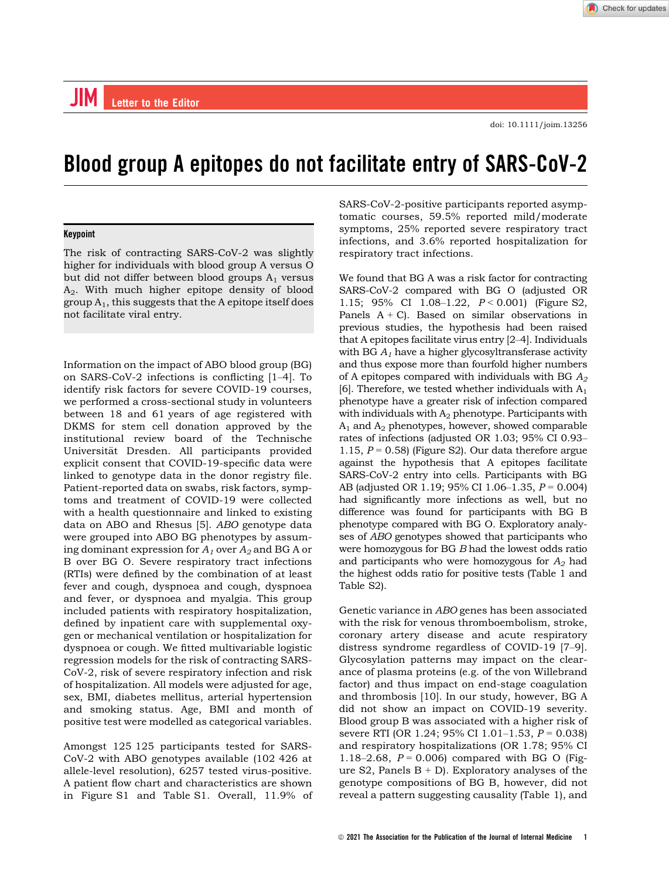doi: 10.1111/joim.13256

# Blood group A epitopes do not facilitate entry of SARS-CoV-2

# Keypoint

The risk of contracting SARS-CoV-2 was slightly higher for individuals with blood group A versus O but did not differ between blood groups  $A_1$  versus A2. With much higher epitope density of blood group  $A_1$ , this suggests that the A epitope itself does not facilitate viral entry.

Information on the impact of ABO blood group (BG) on SARS-CoV-2 infections is conflicting [1–4]. To identify risk factors for severe COVID-19 courses, we performed a cross-sectional study in volunteers between 18 and 61 years of age registered with DKMS for stem cell donation approved by the institutional review board of the Technische Universität Dresden. All participants provided explicit consent that COVID-19-specific data were linked to genotype data in the donor registry file. Patient-reported data on swabs, risk factors, symptoms and treatment of COVID-19 were collected with a health questionnaire and linked to existing data on ABO and Rhesus [5]. ABO genotype data were grouped into ABO BG phenotypes by assuming dominant expression for  $A_1$  over  $A_2$  and BG A or B over BG O. Severe respiratory tract infections (RTIs) were defined by the combination of at least fever and cough, dyspnoea and cough, dyspnoea and fever, or dyspnoea and myalgia. This group included patients with respiratory hospitalization, defined by inpatient care with supplemental oxygen or mechanical ventilation or hospitalization for dyspnoea or cough. We fitted multivariable logistic regression models for the risk of contracting SARS-CoV-2, risk of severe respiratory infection and risk of hospitalization. All models were adjusted for age, sex, BMI, diabetes mellitus, arterial hypertension and smoking status. Age, BMI and month of positive test were modelled as categorical variables.

Amongst 125 125 participants tested for SARS-CoV-2 with ABO genotypes available (102 426 at allele-level resolution), 6257 tested virus-positive. A patient flow chart and characteristics are shown in Figure S1 and Table S1. Overall, 11.9% of SARS-CoV-2-positive participants reported asymptomatic courses, 59.5% reported mild/moderate symptoms, 25% reported severe respiratory tract infections, and 3.6% reported hospitalization for respiratory tract infections.

We found that BG A was a risk factor for contracting SARS-CoV-2 compared with BG O (adjusted OR 1.15; 95% CI 1.08-1.22,  $P < 0.001$  (Figure S2, Panels  $A + C$ ). Based on similar observations in previous studies, the hypothesis had been raised that A epitopes facilitate virus entry [2–4]. Individuals with BG  $A_1$  have a higher glycosyltransferase activity and thus expose more than fourfold higher numbers of A epitopes compared with individuals with BG  $A_2$ [6]. Therefore, we tested whether individuals with  $A_1$ phenotype have a greater risk of infection compared with individuals with  $A_2$  phenotype. Participants with  $A_1$  and  $A_2$  phenotypes, however, showed comparable rates of infections (adjusted OR 1.03; 95% CI 0.93– 1.15,  $P = 0.58$ ) (Figure S2). Our data therefore argue against the hypothesis that A epitopes facilitate SARS-CoV-2 entry into cells. Participants with BG AB (adjusted OR 1.19; 95% CI 1.06-1.35,  $P = 0.004$ ) had significantly more infections as well, but no difference was found for participants with BG B phenotype compared with BG O. Exploratory analyses of ABO genotypes showed that participants who were homozygous for BG B had the lowest odds ratio and participants who were homozygous for  $A_2$  had the highest odds ratio for positive tests (Table 1 and Table S2).

Genetic variance in ABO genes has been associated with the risk for venous thromboembolism, stroke, coronary artery disease and acute respiratory distress syndrome regardless of COVID-19 [7–9]. Glycosylation patterns may impact on the clearance of plasma proteins (e.g. of the von Willebrand factor) and thus impact on end-stage coagulation and thrombosis [10]. In our study, however, BG A did not show an impact on COVID-19 severity. Blood group B was associated with a higher risk of severe RTI (OR 1.24; 95% CI 1.01–1.53,  $P = 0.038$ ) and respiratory hospitalizations (OR 1.78; 95% CI 1.18–2.68,  $P = 0.006$  compared with BG O (Figure S2, Panels  $B + D$ ). Exploratory analyses of the genotype compositions of BG B, however, did not reveal a pattern suggesting causality (Table 1), and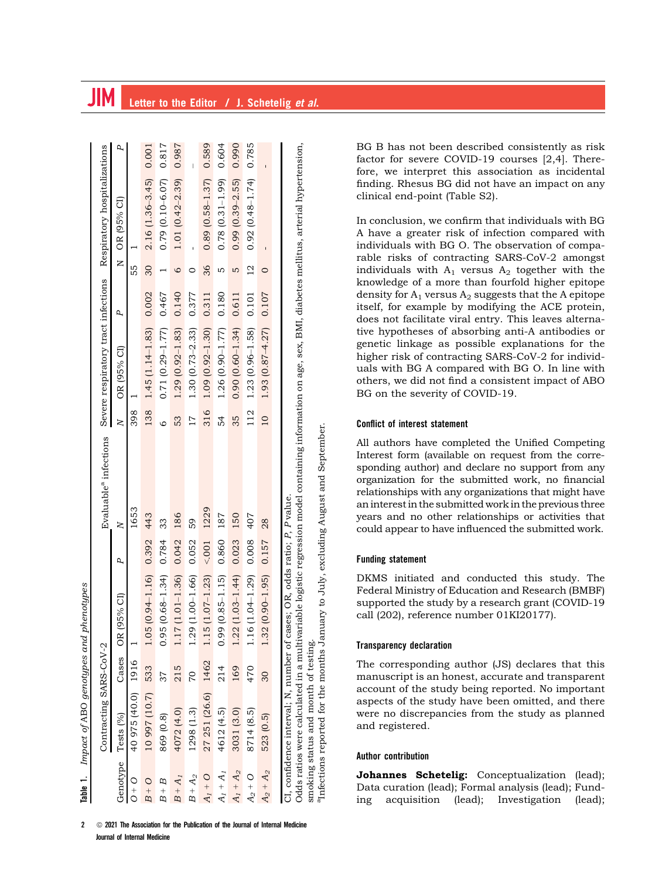|             |                                     |       | Table 1. Impact of ABO genotypes and phenotypes                          |           |                                                                                                                                                             |         |                           |       |                 |                         |       |
|-------------|-------------------------------------|-------|--------------------------------------------------------------------------|-----------|-------------------------------------------------------------------------------------------------------------------------------------------------------------|---------|---------------------------|-------|-----------------|-------------------------|-------|
|             | Contracting SARS-CoV-2              |       |                                                                          |           | Evaluable <sup>a</sup> infections Severe respiratory tract infections Respiratory hospitalizations                                                          |         |                           |       |                 |                         |       |
| Genotype    | Tests (%)                           | Cases | OR (95% CI)                                                              | P,        | $\overline{\mathsf{K}}$                                                                                                                                     | $\geq$  | OR (95% CI)               | P     |                 | N OR (95% CI)           | Р,    |
| $O + O$     | 40 975 (40.0) 1916                  |       |                                                                          |           | 1653                                                                                                                                                        | 398     |                           |       | 55              |                         |       |
| $B + O$     | 10 997 (10.7) 533                   |       | $.05(0.94-1.16)$ 0.392 443                                               |           |                                                                                                                                                             | 138     | $1.45(1.14-1.83)$ 0.002   |       | $\overline{30}$ | $2.16(1.36-3.45)$ 0.001 |       |
| $B + B$     | 869 (0.8)                           | 37    | $.95(0.68 - 1.34)$                                                       | 0.784     | 33                                                                                                                                                          | $\circ$ | $0.71(0.29 - 1.77)$       | 0.467 |                 | $0.79(0.10 - 6.07)$     | 0.817 |
| $B + A_I$   | 4072 (4.0)                          | 215   | $.17(1.01 - 1.36)$                                                       | 0.042     | 186                                                                                                                                                         | 53      | $1.29$ (0.92-1.83) 0.140  |       | $\circ$         | $1.01(0.42 - 2.39)$     | 0.987 |
| $B + A_2$   | 1298 (1.3)                          | 20    | $.29(1.00 - 1.66)$ 0.052                                                 |           | 59                                                                                                                                                          | 17      | $1.30(0.73 - 2.33)$ 0.377 |       | 0               |                         |       |
| $A_1 + O$   | 27 251 (26.6) 1462                  |       | $(1.5(1.07-1.23) < 0.001$ 1229                                           |           |                                                                                                                                                             | 316     | $1.09(0.92 - 1.30)$       | 0.311 | 36              | $0.89(0.58 - 1.37)$     | 0.589 |
| $A_I + A_I$ | 4612 (4.5)                          | 214   | $.99(0.85 - 1.15)$                                                       | 0.860     | 187                                                                                                                                                         | 54      | $1.26(0.90 - 1.77)$       | 0.180 | ഥ               | $0.78(0.31 - 1.99)$     | 0.604 |
| $A_1 + A_2$ | 3031 (3.0)                          | 169   | $.22(1.03-1.44)$                                                         | 0.023 150 |                                                                                                                                                             | 35      | $0.90(0.60 - 1.34)$       | 0.611 | LŊ              | $0.99(0.39 - 2.55)$     | 0.990 |
| $A_2 + O$   | 8714 (8.5)                          | 470   | $.16(1.04-1.29)$                                                         | 0.008     | 407                                                                                                                                                         | 112     | $1.23(0.96 - 1.58)$       | 0.101 | $\overline{2}$  | $0.92(0.48 - 1.74)$     | 0.785 |
| $A_2 + A_2$ | 523 (0.5)                           | 30    | $.32(0.90-1.95)$ 0.157 28                                                |           |                                                                                                                                                             | 10      | $1.93(0.87 - 4.27)$ 0.107 |       | $\circ$         |                         |       |
|             |                                     |       |                                                                          |           |                                                                                                                                                             |         |                           |       |                 |                         |       |
|             |                                     |       | CI, confidence interval; N, number of cases; OR, odds ratio; P, P value. |           | Odds ratios were calculated in a multivariable logistic regression model containing information on age, sex, BMI, diabetes mellitus, arterial hypertension, |         |                           |       |                 |                         |       |
|             | smoking status and month of testing |       |                                                                          |           |                                                                                                                                                             |         |                           |       |                 |                         |       |
|             |                                     |       |                                                                          |           | <sup>a</sup> Infections reported for the months January to July, excluding August and September.                                                            |         |                           |       |                 |                         |       |

 $2 \circ \odot 2021$  The Association for the Publication of the Journal of Internal Medicine Journal of Internal Medicine

BG B has not been described consistently as risk factor for severe COVID-19 courses [2,4]. Therefore, we interpret this association as incidental finding. Rhesus BG did not have an impact on any clinical end-point (Table S2).

In conclusion, we confirm that individuals with BG A have a greater risk of infection compared with individuals with BG O. The observation of comparable risks of contracting SARS-CoV-2 amongst individuals with  $A_1$  versus  $A_2$  together with the knowledge of a more than fourfold higher epitope density for  $A_1$  versus  $A_2$  suggests that the A epitope itself, for example by modifying the ACE protein, does not facilitate viral entry. This leaves alternative hypotheses of absorbing anti-A antibodies or genetic linkage as possible explanations for the higher risk of contracting SARS-CoV-2 for individuals with BG A compared with BG O. In line with others, we did not find a consistent impact of ABO BG on the severity of COVID-19.

# Conflict of interest statement

All authors have completed the Unified Competing Interest form (available on request from the corresponding author) and declare no support from any organization for the submitted work, no financial relationships with any organizations that might have an interest in the submitted work in the previous three years and no other relationships or activities that could appear to have influenced the submitted work.

# Funding statement

DKMS initiated and conducted this study. The Federal Ministry of Education and Research (BMBF) supported the study by a research grant (COVID-19 call (202), reference number 01KI20177).

# Transparency declaration

The corresponding author (JS) declares that this manuscript is an honest, accurate and transparent account of the study being reported. No important aspects of the study have been omitted, and there were no discrepancies from the study as planned and registered.

# Author contribution

Johannes Schetelig: Conceptualization (lead); Data curation (lead); Formal analysis (lead); Funding acquisition (lead); Investigation (lead);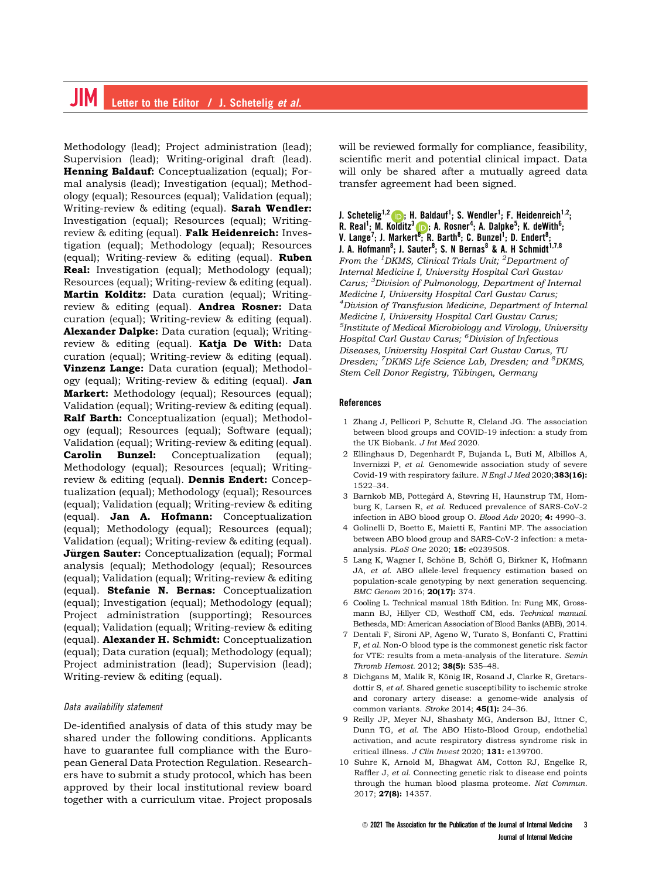# **IIM** Letter to the Editor / J. Schetelig et al.

Methodology (lead); Project administration (lead); Supervision (lead); Writing-original draft (lead). Henning Baldauf: Conceptualization (equal); Formal analysis (lead); Investigation (equal); Methodology (equal); Resources (equal); Validation (equal); Writing-review & editing (equal). Sarah Wendler: Investigation (equal); Resources (equal); Writingreview & editing (equal). Falk Heidenreich: Investigation (equal); Methodology (equal); Resources (equal); Writing-review & editing (equal). Ruben Real: Investigation (equal); Methodology (equal); Resources (equal); Writing-review & editing (equal). Martin Kolditz: Data curation (equal); Writingreview & editing (equal). Andrea Rosner: Data curation (equal); Writing-review & editing (equal). Alexander Dalpke: Data curation (equal); Writingreview & editing (equal). Katja De With: Data curation (equal); Writing-review & editing (equal). Vinzenz Lange: Data curation (equal); Methodology (equal); Writing-review & editing (equal). Jan Markert: Methodology (equal); Resources (equal); Validation (equal); Writing-review & editing (equal). Ralf Barth: Conceptualization (equal); Methodology (equal); Resources (equal); Software (equal); Validation (equal); Writing-review & editing (equal). Carolin Bunzel: Conceptualization (equal); Methodology (equal); Resources (equal); Writingreview & editing (equal). **Dennis Endert:** Conceptualization (equal); Methodology (equal); Resources (equal); Validation (equal); Writing-review & editing (equal). Jan A. Hofmann: Conceptualization (equal); Methodology (equal); Resources (equal); Validation (equal); Writing-review & editing (equal). **Jürgen Sauter:** Conceptualization (equal); Formal analysis (equal); Methodology (equal); Resources (equal); Validation (equal); Writing-review & editing (equal). Stefanie N. Bernas: Conceptualization (equal); Investigation (equal); Methodology (equal); Project administration (supporting); Resources (equal); Validation (equal); Writing-review & editing (equal). Alexander H. Schmidt: Conceptualization (equal); Data curation (equal); Methodology (equal); Project administration (lead); Supervision (lead); Writing-review & editing (equal).

#### Data availability statement

De-identified analysis of data of this study may be shared under the following conditions. Applicants have to guarantee full compliance with the European General Data Protection Regulation. Researchers have to submit a study protocol, which has been approved by their local institutional review board together with a curriculum vitae. Project proposals will be reviewed formally for compliance, feasibility, scientific merit and potential clinical impact. Data will only be shared after a mutually agreed data transfer agreement had been signed.

J. Schetelig<sup>1,[2](https://orcid.org/0000-0002-2780-2981)</sup> (D); H. Baldauf<sup>1</sup>; S. Wendler<sup>1</sup>; F. Heidenreich<sup>1,2</sup>; R. Real<sup>1</sup>; M. Kolditz<sup>[3](https://orcid.org/0000-0001-6022-6827)</sup> (D); A. Rosner<sup>4</sup>; A. Dalpke<sup>5</sup>; K. deWith<sup>6</sup>;<br>V. Lange<sup>7</sup>; J. Markert<sup>[8](https://orcid.org/0000-0001-6022-6827)</sup>; R. Barth<sup>8</sup>; C. Bunzel<sup>1</sup>; D. Endert<sup>8</sup>; J. A. Hofmann<sup>8</sup>; J. Sauter<sup>8</sup>; S. N Bernas<sup>8</sup> & A. H Schmidt<sup>1,7,8</sup> From the <sup>1</sup>DKMS, Clinical Trials Unit; <sup>2</sup>Department of Internal Medicine I, University Hospital Carl Gustav Carus; <sup>3</sup>Division of Pulmonology, Department of Internal Medicine I, University Hospital Carl Gustav Carus; <sup>4</sup>Division of Transfusion Medicine, Department of Internal Medicine I, University Hospital Carl Gustav Carus; 5 Institute of Medical Microbiology and Virology, University Hospital Carl Gustav Carus; <sup>6</sup>Division of Infectious Diseases, University Hospital Carl Gustav Carus, TU Dresden; <sup>7</sup>DKMS Life Science Lab, Dresden; and <sup>8</sup>DKMS, Stem Cell Donor Registry, Tübingen, Germany

#### References

- 1 Zhang J, Pellicori P, Schutte R, Cleland JG. The association between blood groups and COVID-19 infection: a study from the UK Biobank. J Int Med 2020.
- 2 Ellinghaus D, Degenhardt F, Bujanda L, Buti M, Albillos A, Invernizzi P, et al. Genomewide association study of severe Covid-19 with respiratory failure. N Engl J Med 2020;383(16): 1522–34.
- 3 Barnkob MB, Pottegård A, Støvring H, Haunstrup TM, Homburg K, Larsen R, et al. Reduced prevalence of SARS-CoV-2 infection in ABO blood group O. Blood Adv 2020; 4: 4990–3.
- 4 Golinelli D, Boetto E, Maietti E, Fantini MP. The association between ABO blood group and SARS-CoV-2 infection: a metaanalysis. PLoS One 2020; 15: e0239508.
- 5 Lang K, Wagner I, Schöne B, Schöfl G, Birkner K, Hofmann JA, et al. ABO allele-level frequency estimation based on population-scale genotyping by next generation sequencing. BMC Genom 2016; 20(17): 374.
- 6 Cooling L. Technical manual 18th Edition. In: Fung MK, Grossmann BJ, Hillyer CD, Westhoff CM, eds. Technical manual. Bethesda, MD: American Association of Blood Banks (ABB), 2014.
- 7 Dentali F, Sironi AP, Ageno W, Turato S, Bonfanti C, Frattini F, et al. Non-O blood type is the commonest genetic risk factor for VTE: results from a meta-analysis of the literature. Semin Thromb Hemost. 2012; 38(5): 535–48.
- 8 Dichgans M, Malik R, König IR, Rosand J, Clarke R, Gretarsdottir S, et al. Shared genetic susceptibility to ischemic stroke and coronary artery disease: a genome-wide analysis of common variants. Stroke 2014; 45(1): 24-36.
- 9 Reilly JP, Meyer NJ, Shashaty MG, Anderson BJ, Ittner C, Dunn TG, et al. The ABO Histo-Blood Group, endothelial activation, and acute respiratory distress syndrome risk in critical illness. J Clin Invest 2020; 131: e139700.
- 10 Suhre K, Arnold M, Bhagwat AM, Cotton RJ, Engelke R, Raffler J, et al. Connecting genetic risk to disease end points through the human blood plasma proteome. Nat Commun. 2017; 27(8): 14357.